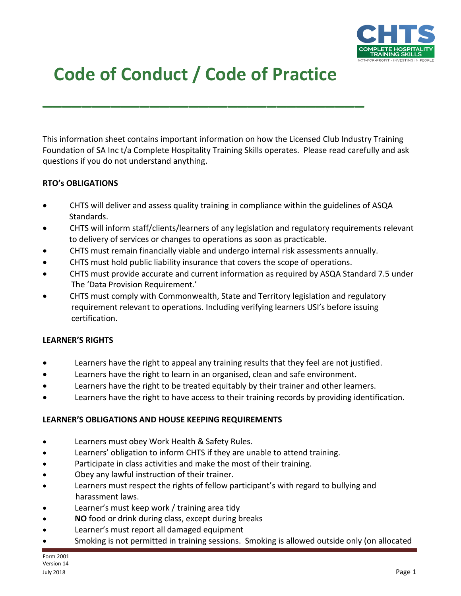

# **Code of Conduct / Code of Practice**

**\_\_\_\_\_\_\_\_\_\_\_\_\_\_\_\_\_\_\_\_\_\_\_\_\_\_\_\_\_\_\_\_\_**

This information sheet contains important information on how the Licensed Club Industry Training Foundation of SA Inc t/a Complete Hospitality Training Skills operates. Please read carefully and ask questions if you do not understand anything.

## **RTO's OBLIGATIONS**

- CHTS will deliver and assess quality training in compliance within the guidelines of ASQA Standards.
- CHTS will inform staff/clients/learners of any legislation and regulatory requirements relevant to delivery of services or changes to operations as soon as practicable.
- CHTS must remain financially viable and undergo internal risk assessments annually.
- CHTS must hold public liability insurance that covers the scope of operations.
- CHTS must provide accurate and current information as required by ASQA Standard 7.5 under The 'Data Provision Requirement.'
- CHTS must comply with Commonwealth, State and Territory legislation and regulatory requirement relevant to operations. Including verifying learners USI's before issuing certification.

#### **LEARNER'S RIGHTS**

- Learners have the right to appeal any training results that they feel are not justified.
- Learners have the right to learn in an organised, clean and safe environment.
- Learners have the right to be treated equitably by their trainer and other learners.
- Learners have the right to have access to their training records by providing identification.

#### **LEARNER'S OBLIGATIONS AND HOUSE KEEPING REQUIREMENTS**

- Learners must obey Work Health & Safety Rules.
- Learners' obligation to inform CHTS if they are unable to attend training.
- Participate in class activities and make the most of their training.
- Obey any lawful instruction of their trainer.
- Learners must respect the rights of fellow participant's with regard to bullying and harassment laws.
- Learner's must keep work / training area tidy
- **NO** food or drink during class, except during breaks
- Learner's must report all damaged equipment
- Smoking is not permitted in training sessions. Smoking is allowed outside only (on allocated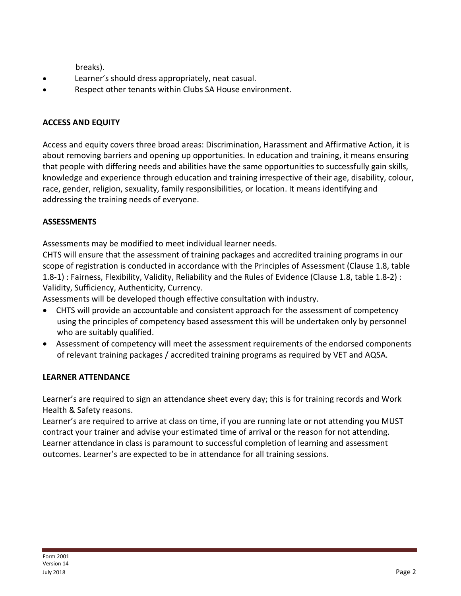breaks).

- Learner's should dress appropriately, neat casual.
- Respect other tenants within Clubs SA House environment.

# **ACCESS AND EQUITY**

Access and equity covers three broad areas: Discrimination, Harassment and Affirmative Action, it is about removing barriers and opening up opportunities. In education and training, it means ensuring that people with differing needs and abilities have the same opportunities to successfully gain skills, knowledge and experience through education and training irrespective of their age, disability, colour, race, gender, religion, sexuality, family responsibilities, or location. It means identifying and addressing the training needs of everyone.

# **ASSESSMENTS**

Assessments may be modified to meet individual learner needs.

CHTS will ensure that the assessment of training packages and accredited training programs in our scope of registration is conducted in accordance with the Principles of Assessment (Clause 1.8, table 1.8-1) : Fairness, Flexibility, Validity, Reliability and the Rules of Evidence (Clause 1.8, table 1.8-2) : Validity, Sufficiency, Authenticity, Currency.

Assessments will be developed though effective consultation with industry.

- CHTS will provide an accountable and consistent approach for the assessment of competency using the principles of competency based assessment this will be undertaken only by personnel who are suitably qualified.
- Assessment of competency will meet the assessment requirements of the endorsed components of relevant training packages / accredited training programs as required by VET and AQSA.

# **LEARNER ATTENDANCE**

Learner's are required to sign an attendance sheet every day; this is for training records and Work Health & Safety reasons.

Learner's are required to arrive at class on time, if you are running late or not attending you MUST contract your trainer and advise your estimated time of arrival or the reason for not attending. Learner attendance in class is paramount to successful completion of learning and assessment outcomes. Learner's are expected to be in attendance for all training sessions.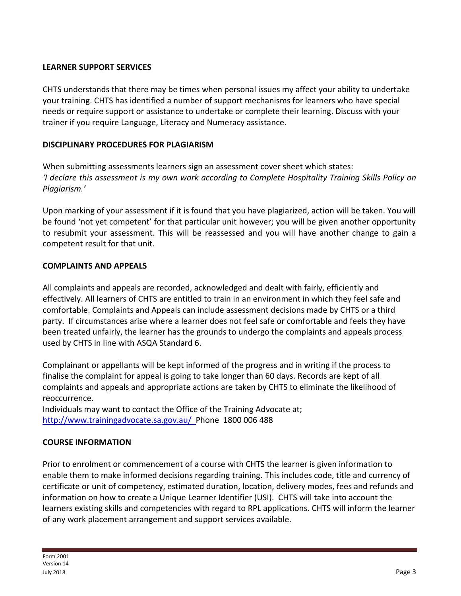## **LEARNER SUPPORT SERVICES**

CHTS understands that there may be times when personal issues my affect your ability to undertake your training. CHTS has identified a number of support mechanisms for learners who have special needs or require support or assistance to undertake or complete their learning. Discuss with your trainer if you require Language, Literacy and Numeracy assistance.

# **DISCIPLINARY PROCEDURES FOR PLAGIARISM**

When submitting assessments learners sign an assessment cover sheet which states: *'I declare this assessment is my own work according to Complete Hospitality Training Skills Policy on Plagiarism.'*

Upon marking of your assessment if it is found that you have plagiarized, action will be taken. You will be found 'not yet competent' for that particular unit however; you will be given another opportunity to resubmit your assessment. This will be reassessed and you will have another change to gain a competent result for that unit.

## **COMPLAINTS AND APPEALS**

All complaints and appeals are recorded, acknowledged and dealt with fairly, efficiently and effectively. All learners of CHTS are entitled to train in an environment in which they feel safe and comfortable. Complaints and Appeals can include assessment decisions made by CHTS or a third party. If circumstances arise where a learner does not feel safe or comfortable and feels they have been treated unfairly, the learner has the grounds to undergo the complaints and appeals process used by CHTS in line with ASQA Standard 6.

Complainant or appellants will be kept informed of the progress and in writing if the process to finalise the complaint for appeal is going to take longer than 60 days. Records are kept of all complaints and appeals and appropriate actions are taken by CHTS to eliminate the likelihood of reoccurrence.

Individuals may want to contact the Office of the Training Advocate at; <http://www.trainingadvocate.sa.gov.au/>Phone 1800 006 488

## **COURSE INFORMATION**

Prior to enrolment or commencement of a course with CHTS the learner is given information to enable them to make informed decisions regarding training. This includes code, title and currency of certificate or unit of competency, estimated duration, location, delivery modes, fees and refunds and information on how to create a Unique Learner Identifier (USI). CHTS will take into account the learners existing skills and competencies with regard to RPL applications. CHTS will inform the learner of any work placement arrangement and support services available.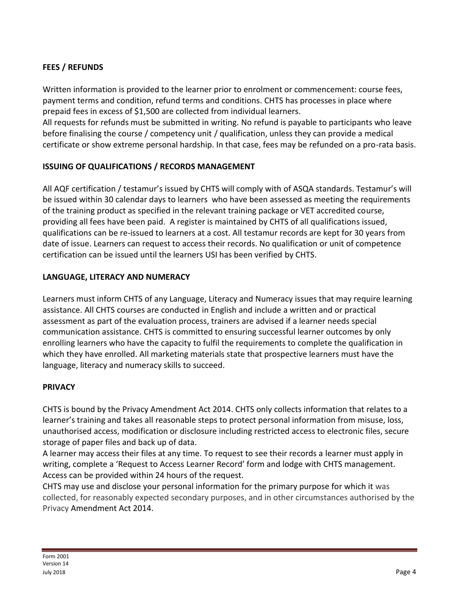# **FEES / REFUNDS**

Written information is provided to the learner prior to enrolment or commencement: course fees, payment terms and condition, refund terms and conditions. CHTS has processes in place where prepaid fees in excess of \$1,500 are collected from individual learners.

All requests for refunds must be submitted in writing. No refund is payable to participants who leave before finalising the course / competency unit / qualification, unless they can provide a medical certificate or show extreme personal hardship. In that case, fees may be refunded on a pro-rata basis.

## **ISSUING OF QUALIFICATIONS / RECORDS MANAGEMENT**

All AQF certification / testamur's issued by CHTS will comply with of ASQA standards. Testamur's will be issued within 30 calendar days to learners who have been assessed as meeting the requirements of the training product as specified in the relevant training package or VET accredited course, providing all fees have been paid. A register is maintained by CHTS of all qualifications issued, qualifications can be re-issued to learners at a cost. All testamur records are kept for 30 years from date of issue. Learners can request to access their records. No qualification or unit of competence certification can be issued until the learners USI has been verified by CHTS.

## **LANGUAGE, LITERACY AND NUMERACY**

Learners must inform CHTS of any Language, Literacy and Numeracy issues that may require learning assistance. All CHTS courses are conducted in English and include a written and or practical assessment as part of the evaluation process, trainers are advised if a learner needs special communication assistance. CHTS is committed to ensuring successful learner outcomes by only enrolling learners who have the capacity to fulfil the requirements to complete the qualification in which they have enrolled. All marketing materials state that prospective learners must have the language, literacy and numeracy skills to succeed.

#### **PRIVACY**

CHTS is bound by the Privacy Amendment Act 2014. CHTS only collects information that relates to a learner's training and takes all reasonable steps to protect personal information from misuse, loss, unauthorised access, modification or disclosure including restricted access to electronic files, secure storage of paper files and back up of data.

A learner may access their files at any time. To request to see their records a learner must apply in writing, complete a 'Request to Access Learner Record' form and lodge with CHTS management. Access can be provided within 24 hours of the request.

CHTS may use and disclose your personal information for the primary purpose for which it was collected, for reasonably expected secondary purposes, and in other circumstances authorised by the Privacy Amendment Act 2014.